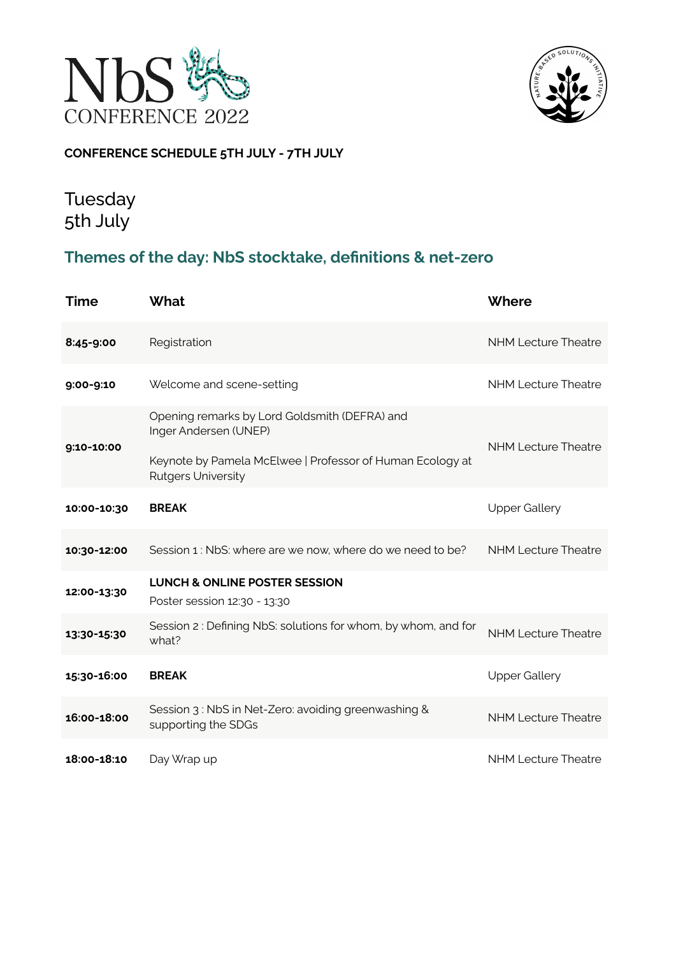



### **CONFERENCE SCHEDULE 5TH JULY - 7TH JULY**

## Tuesday 5th July

### **Themes of the day: NbS stocktake, definitions & net-zero**

| <b>Time</b> | <b>What</b>                                                                                                                                                      | Where                      |
|-------------|------------------------------------------------------------------------------------------------------------------------------------------------------------------|----------------------------|
| 8:45-9:00   | Registration                                                                                                                                                     | <b>NHM Lecture Theatre</b> |
| 9:00-9:10   | Welcome and scene-setting                                                                                                                                        | <b>NHM Lecture Theatre</b> |
| 9:10-10:00  | Opening remarks by Lord Goldsmith (DEFRA) and<br>Inger Andersen (UNEP)<br>Keynote by Pamela McElwee   Professor of Human Ecology at<br><b>Rutgers University</b> | <b>NHM Lecture Theatre</b> |
| 10:00-10:30 | <b>BREAK</b>                                                                                                                                                     | <b>Upper Gallery</b>       |
| 10:30-12:00 | Session 1 : NbS: where are we now, where do we need to be?                                                                                                       | <b>NHM Lecture Theatre</b> |
| 12:00-13:30 | <b>LUNCH &amp; ONLINE POSTER SESSION</b><br>Poster session 12:30 - 13:30                                                                                         |                            |
| 13:30-15:30 | Session 2: Defining NbS: solutions for whom, by whom, and for<br>what?                                                                                           | <b>NHM Lecture Theatre</b> |
| 15:30-16:00 | <b>BREAK</b>                                                                                                                                                     | <b>Upper Gallery</b>       |
| 16:00-18:00 | Session 3: NbS in Net-Zero: avoiding greenwashing &<br>supporting the SDGs                                                                                       | <b>NHM Lecture Theatre</b> |
| 18:00-18:10 | Day Wrap up                                                                                                                                                      | <b>NHM Lecture Theatre</b> |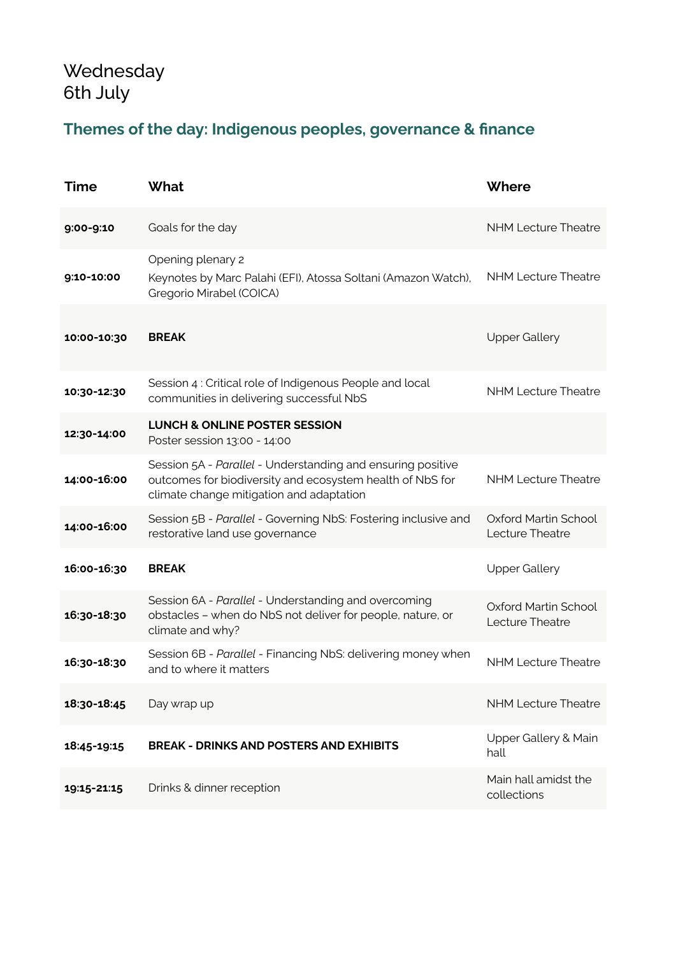# **Wednesday** 6th July

## **Themes of the day: Indigenous peoples, governance & finance**

| <b>Time</b> | <b>What</b>                                                                                                                                                          | Where                                   |
|-------------|----------------------------------------------------------------------------------------------------------------------------------------------------------------------|-----------------------------------------|
| 9:00-9:10   | Goals for the day                                                                                                                                                    | <b>NHM Lecture Theatre</b>              |
| 9:10-10:00  | Opening plenary 2<br>Keynotes by Marc Palahi (EFI), Atossa Soltani (Amazon Watch),<br>Gregorio Mirabel (COICA)                                                       | <b>NHM Lecture Theatre</b>              |
| 10:00-10:30 | <b>BREAK</b>                                                                                                                                                         | <b>Upper Gallery</b>                    |
| 10:30-12:30 | Session 4 : Critical role of Indigenous People and local<br>communities in delivering successful NbS                                                                 | <b>NHM Lecture Theatre</b>              |
| 12:30-14:00 | <b>LUNCH &amp; ONLINE POSTER SESSION</b><br>Poster session 13:00 - 14:00                                                                                             |                                         |
| 14:00-16:00 | Session 5A - Parallel - Understanding and ensuring positive<br>outcomes for biodiversity and ecosystem health of NbS for<br>climate change mitigation and adaptation | <b>NHM Lecture Theatre</b>              |
| 14:00-16:00 | Session 5B - Parallel - Governing NbS: Fostering inclusive and<br>restorative land use governance                                                                    | Oxford Martin School<br>Lecture Theatre |
| 16:00-16:30 | <b>BREAK</b>                                                                                                                                                         | <b>Upper Gallery</b>                    |
| 16:30-18:30 | Session 6A - Parallel - Understanding and overcoming<br>obstacles - when do NbS not deliver for people, nature, or<br>climate and why?                               | Oxford Martin School<br>Lecture Theatre |
| 16:30-18:30 | Session 6B - Parallel - Financing NbS: delivering money when<br>and to where it matters                                                                              | <b>NHM Lecture Theatre</b>              |
| 18:30-18:45 | Day wrap up                                                                                                                                                          | <b>NHM Lecture Theatre</b>              |
| 18:45-19:15 | <b>BREAK - DRINKS AND POSTERS AND EXHIBITS</b>                                                                                                                       | Upper Gallery & Main<br>hall            |
| 19:15-21:15 | Drinks & dinner reception                                                                                                                                            | Main hall amidst the<br>collections     |